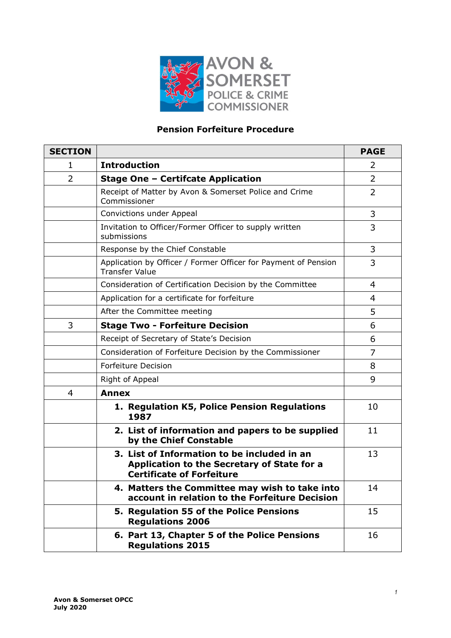

# **Pension Forfeiture Procedure**

| <b>SECTION</b> |                                                                                                                                | <b>PAGE</b>    |
|----------------|--------------------------------------------------------------------------------------------------------------------------------|----------------|
| 1              | <b>Introduction</b>                                                                                                            | 2              |
| $\overline{2}$ | <b>Stage One - Certifcate Application</b>                                                                                      | $\overline{2}$ |
|                | Receipt of Matter by Avon & Somerset Police and Crime<br>Commissioner                                                          | $\overline{2}$ |
|                | Convictions under Appeal                                                                                                       | 3              |
|                | Invitation to Officer/Former Officer to supply written<br>submissions                                                          | 3              |
|                | Response by the Chief Constable                                                                                                | 3              |
|                | Application by Officer / Former Officer for Payment of Pension<br><b>Transfer Value</b>                                        | 3              |
|                | Consideration of Certification Decision by the Committee                                                                       | $\overline{4}$ |
|                | Application for a certificate for forfeiture                                                                                   | 4              |
|                | After the Committee meeting                                                                                                    | 5              |
| 3              | <b>Stage Two - Forfeiture Decision</b>                                                                                         | 6              |
|                | Receipt of Secretary of State's Decision                                                                                       | 6              |
|                | Consideration of Forfeiture Decision by the Commissioner                                                                       | 7              |
|                | <b>Forfeiture Decision</b>                                                                                                     | 8              |
|                | Right of Appeal                                                                                                                | 9              |
| $\overline{4}$ | <b>Annex</b>                                                                                                                   |                |
|                | 1. Regulation K5, Police Pension Regulations<br>1987                                                                           | 10             |
|                | 2. List of information and papers to be supplied<br>by the Chief Constable                                                     | 11             |
|                | 3. List of Information to be included in an<br>Application to the Secretary of State for a<br><b>Certificate of Forfeiture</b> | 13             |
|                | 4. Matters the Committee may wish to take into<br>account in relation to the Forfeiture Decision                               | 14             |
|                | 5. Regulation 55 of the Police Pensions<br><b>Regulations 2006</b>                                                             | 15             |
|                | 6. Part 13, Chapter 5 of the Police Pensions<br><b>Regulations 2015</b>                                                        | 16             |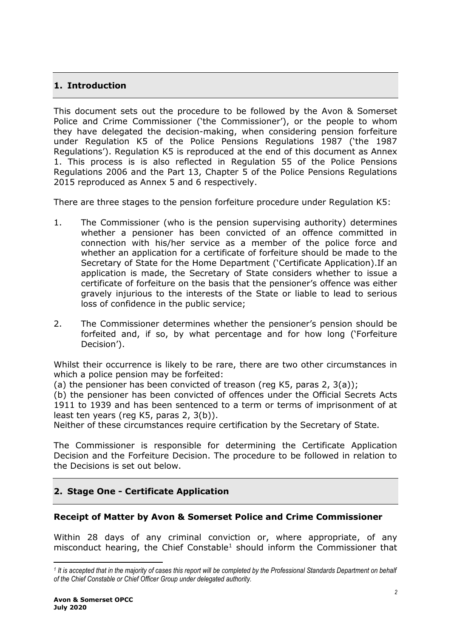# **1. Introduction**

This document sets out the procedure to be followed by the Avon & Somerset Police and Crime Commissioner ('the Commissioner'), or the people to whom they have delegated the decision-making, when considering pension forfeiture under Regulation K5 of the Police Pensions Regulations 1987 ('the 1987 Regulations'). Regulation K5 is reproduced at the end of this document as Annex 1. This process is is also reflected in Regulation 55 of the Police Pensions Regulations 2006 and the Part 13, Chapter 5 of the Police Pensions Regulations 2015 reproduced as Annex 5 and 6 respectively.

There are three stages to the pension forfeiture procedure under Regulation K5:

- 1. The Commissioner (who is the pension supervising authority) determines whether a pensioner has been convicted of an offence committed in connection with his/her service as a member of the police force and whether an application for a certificate of forfeiture should be made to the Secretary of State for the Home Department ('Certificate Application).If an application is made, the Secretary of State considers whether to issue a certificate of forfeiture on the basis that the pensioner's offence was either gravely injurious to the interests of the State or liable to lead to serious loss of confidence in the public service;
- 2. The Commissioner determines whether the pensioner's pension should be forfeited and, if so, by what percentage and for how long ('Forfeiture Decision').

Whilst their occurrence is likely to be rare, there are two other circumstances in which a police pension may be forfeited:

(a) the pensioner has been convicted of treason (reg K5, paras 2, 3(a));

(b) the pensioner has been convicted of offences under the Official Secrets Acts 1911 to 1939 and has been sentenced to a term or terms of imprisonment of at least ten years (reg K5, paras 2, 3(b)).

Neither of these circumstances require certification by the Secretary of State.

The Commissioner is responsible for determining the Certificate Application Decision and the Forfeiture Decision. The procedure to be followed in relation to the Decisions is set out below.

## **2. Stage One - Certificate Application**

## **Receipt of Matter by Avon & Somerset Police and Crime Commissioner**

Within 28 days of any criminal conviction or, where appropriate, of any misconduct hearing, the Chief Constable<sup>1</sup> should inform the Commissioner that

<sup>&</sup>lt;sup>1</sup> It is accepted that in the majority of cases this report will be completed by the Professional Standards Department on behalf *of the Chief Constable or Chief Officer Group under delegated authority.*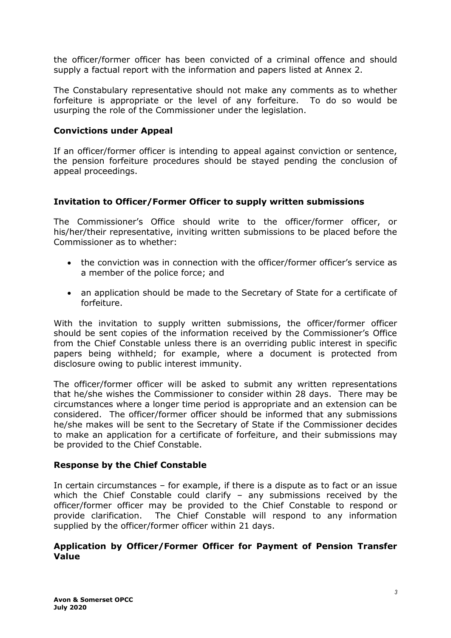the officer/former officer has been convicted of a criminal offence and should supply a factual report with the information and papers listed at Annex 2.

The Constabulary representative should not make any comments as to whether forfeiture is appropriate or the level of any forfeiture. To do so would be usurping the role of the Commissioner under the legislation.

### **Convictions under Appeal**

If an officer/former officer is intending to appeal against conviction or sentence, the pension forfeiture procedures should be stayed pending the conclusion of appeal proceedings.

## **Invitation to Officer/Former Officer to supply written submissions**

The Commissioner's Office should write to the officer/former officer, or his/her/their representative, inviting written submissions to be placed before the Commissioner as to whether:

- the conviction was in connection with the officer/former officer's service as a member of the police force; and
- an application should be made to the Secretary of State for a certificate of forfeiture.

With the invitation to supply written submissions, the officer/former officer should be sent copies of the information received by the Commissioner's Office from the Chief Constable unless there is an overriding public interest in specific papers being withheld; for example, where a document is protected from disclosure owing to public interest immunity.

The officer/former officer will be asked to submit any written representations that he/she wishes the Commissioner to consider within 28 days. There may be circumstances where a longer time period is appropriate and an extension can be considered. The officer/former officer should be informed that any submissions he/she makes will be sent to the Secretary of State if the Commissioner decides to make an application for a certificate of forfeiture, and their submissions may be provided to the Chief Constable.

## **Response by the Chief Constable**

In certain circumstances – for example, if there is a dispute as to fact or an issue which the Chief Constable could clarify – any submissions received by the officer/former officer may be provided to the Chief Constable to respond or provide clarification. The Chief Constable will respond to any information supplied by the officer/former officer within 21 days.

### **Application by Officer/Former Officer for Payment of Pension Transfer Value**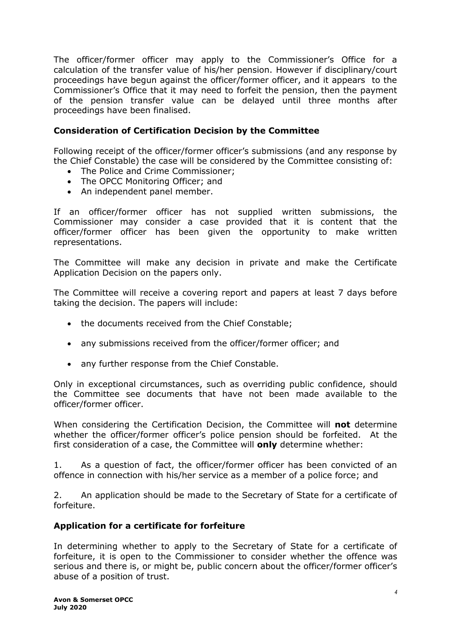The officer/former officer may apply to the Commissioner's Office for a calculation of the transfer value of his/her pension. However if disciplinary/court proceedings have begun against the officer/former officer, and it appears to the Commissioner's Office that it may need to forfeit the pension, then the payment of the pension transfer value can be delayed until three months after proceedings have been finalised.

## **Consideration of Certification Decision by the Committee**

Following receipt of the officer/former officer's submissions (and any response by the Chief Constable) the case will be considered by the Committee consisting of:

- The Police and Crime Commissioner:
- The OPCC Monitoring Officer; and
- An independent panel member.

If an officer/former officer has not supplied written submissions, the Commissioner may consider a case provided that it is content that the officer/former officer has been given the opportunity to make written representations.

The Committee will make any decision in private and make the Certificate Application Decision on the papers only.

The Committee will receive a covering report and papers at least 7 days before taking the decision. The papers will include:

- the documents received from the Chief Constable;
- any submissions received from the officer/former officer; and
- any further response from the Chief Constable.

Only in exceptional circumstances, such as overriding public confidence, should the Committee see documents that have not been made available to the officer/former officer.

When considering the Certification Decision, the Committee will **not** determine whether the officer/former officer's police pension should be forfeited. At the first consideration of a case, the Committee will **only** determine whether:

1. As a question of fact, the officer/former officer has been convicted of an offence in connection with his/her service as a member of a police force; and

2. An application should be made to the Secretary of State for a certificate of forfeiture.

## **Application for a certificate for forfeiture**

In determining whether to apply to the Secretary of State for a certificate of forfeiture, it is open to the Commissioner to consider whether the offence was serious and there is, or might be, public concern about the officer/former officer's abuse of a position of trust.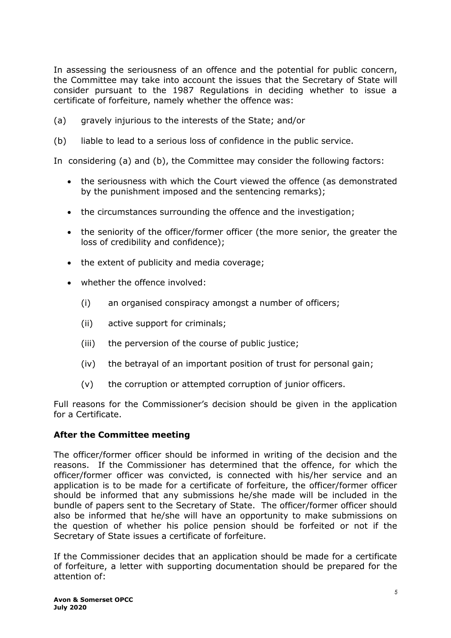In assessing the seriousness of an offence and the potential for public concern, the Committee may take into account the issues that the Secretary of State will consider pursuant to the 1987 Regulations in deciding whether to issue a certificate of forfeiture, namely whether the offence was:

- (a) gravely injurious to the interests of the State; and/or
- (b) liable to lead to a serious loss of confidence in the public service.

In considering (a) and (b), the Committee may consider the following factors:

- the seriousness with which the Court viewed the offence (as demonstrated by the punishment imposed and the sentencing remarks);
- the circumstances surrounding the offence and the investigation;
- the seniority of the officer/former officer (the more senior, the greater the loss of credibility and confidence);
- the extent of publicity and media coverage;
- whether the offence involved:
	- (i) an organised conspiracy amongst a number of officers;
	- (ii) active support for criminals;
	- (iii) the perversion of the course of public justice;
	- (iv) the betrayal of an important position of trust for personal gain;
	- (v) the corruption or attempted corruption of junior officers.

Full reasons for the Commissioner's decision should be given in the application for a Certificate.

## **After the Committee meeting**

The officer/former officer should be informed in writing of the decision and the reasons. If the Commissioner has determined that the offence, for which the officer/former officer was convicted, is connected with his/her service and an application is to be made for a certificate of forfeiture, the officer/former officer should be informed that any submissions he/she made will be included in the bundle of papers sent to the Secretary of State. The officer/former officer should also be informed that he/she will have an opportunity to make submissions on the question of whether his police pension should be forfeited or not if the Secretary of State issues a certificate of forfeiture.

If the Commissioner decides that an application should be made for a certificate of forfeiture, a letter with supporting documentation should be prepared for the attention of: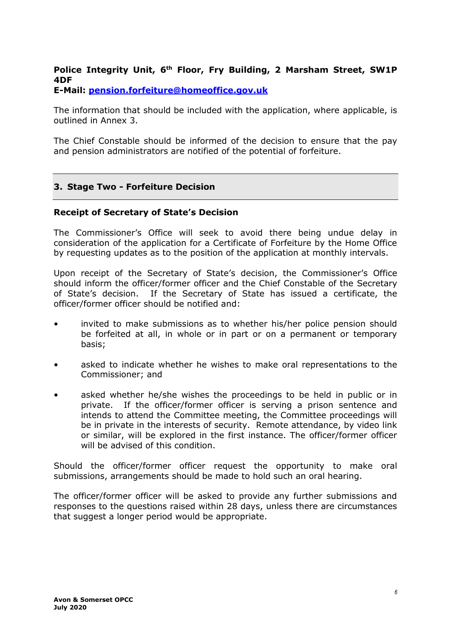# **Police Integrity Unit, 6th Floor, Fry Building, 2 Marsham Street, SW1P 4DF**

**E-Mail: [pension.forfeiture@homeoffice.gov.uk](mailto:pension.forfeiture@homeoffice.gov.uk)**

The information that should be included with the application, where applicable, is outlined in Annex 3.

The Chief Constable should be informed of the decision to ensure that the pay and pension administrators are notified of the potential of forfeiture.

## **3. Stage Two - Forfeiture Decision**

#### **Receipt of Secretary of State's Decision**

The Commissioner's Office will seek to avoid there being undue delay in consideration of the application for a Certificate of Forfeiture by the Home Office by requesting updates as to the position of the application at monthly intervals.

Upon receipt of the Secretary of State's decision, the Commissioner's Office should inform the officer/former officer and the Chief Constable of the Secretary of State's decision. If the Secretary of State has issued a certificate, the officer/former officer should be notified and:

- invited to make submissions as to whether his/her police pension should be forfeited at all, in whole or in part or on a permanent or temporary basis;
- asked to indicate whether he wishes to make oral representations to the Commissioner; and
- asked whether he/she wishes the proceedings to be held in public or in private. If the officer/former officer is serving a prison sentence and intends to attend the Committee meeting, the Committee proceedings will be in private in the interests of security. Remote attendance, by video link or similar, will be explored in the first instance. The officer/former officer will be advised of this condition.

Should the officer/former officer request the opportunity to make oral submissions, arrangements should be made to hold such an oral hearing.

The officer/former officer will be asked to provide any further submissions and responses to the questions raised within 28 days, unless there are circumstances that suggest a longer period would be appropriate.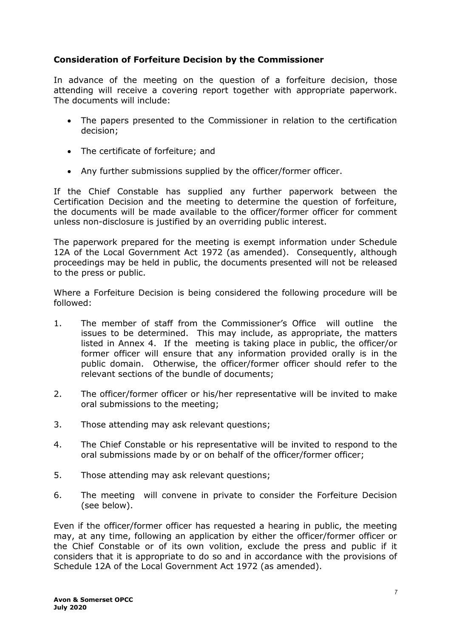## **Consideration of Forfeiture Decision by the Commissioner**

In advance of the meeting on the question of a forfeiture decision, those attending will receive a covering report together with appropriate paperwork. The documents will include:

- The papers presented to the Commissioner in relation to the certification decision;
- The certificate of forfeiture; and
- Any further submissions supplied by the officer/former officer.

If the Chief Constable has supplied any further paperwork between the Certification Decision and the meeting to determine the question of forfeiture, the documents will be made available to the officer/former officer for comment unless non-disclosure is justified by an overriding public interest.

The paperwork prepared for the meeting is exempt information under Schedule 12A of the Local Government Act 1972 (as amended). Consequently, although proceedings may be held in public, the documents presented will not be released to the press or public.

Where a Forfeiture Decision is being considered the following procedure will be followed:

- 1. The member of staff from the Commissioner's Office will outline the issues to be determined. This may include, as appropriate, the matters listed in Annex 4. If the meeting is taking place in public, the officer/or former officer will ensure that any information provided orally is in the public domain. Otherwise, the officer/former officer should refer to the relevant sections of the bundle of documents;
- 2. The officer/former officer or his/her representative will be invited to make oral submissions to the meeting;
- 3. Those attending may ask relevant questions;
- 4. The Chief Constable or his representative will be invited to respond to the oral submissions made by or on behalf of the officer/former officer;
- 5. Those attending may ask relevant questions;
- 6. The meeting will convene in private to consider the Forfeiture Decision (see below).

Even if the officer/former officer has requested a hearing in public, the meeting may, at any time, following an application by either the officer/former officer or the Chief Constable or of its own volition, exclude the press and public if it considers that it is appropriate to do so and in accordance with the provisions of Schedule 12A of the Local Government Act 1972 (as amended).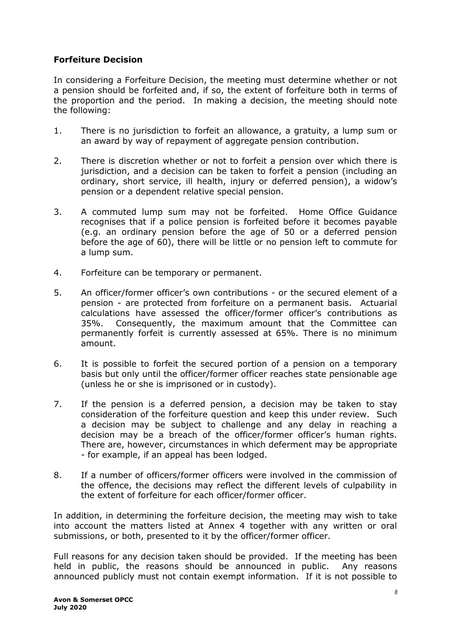## **Forfeiture Decision**

In considering a Forfeiture Decision, the meeting must determine whether or not a pension should be forfeited and, if so, the extent of forfeiture both in terms of the proportion and the period. In making a decision, the meeting should note the following:

- 1. There is no jurisdiction to forfeit an allowance, a gratuity, a lump sum or an award by way of repayment of aggregate pension contribution.
- 2. There is discretion whether or not to forfeit a pension over which there is jurisdiction, and a decision can be taken to forfeit a pension (including an ordinary, short service, ill health, injury or deferred pension), a widow's pension or a dependent relative special pension.
- 3. A commuted lump sum may not be forfeited. Home Office Guidance recognises that if a police pension is forfeited before it becomes payable (e.g. an ordinary pension before the age of 50 or a deferred pension before the age of 60), there will be little or no pension left to commute for a lump sum.
- 4. Forfeiture can be temporary or permanent.
- 5. An officer/former officer's own contributions or the secured element of a pension - are protected from forfeiture on a permanent basis. Actuarial calculations have assessed the officer/former officer's contributions as 35%. Consequently, the maximum amount that the Committee can permanently forfeit is currently assessed at 65%. There is no minimum amount.
- 6. It is possible to forfeit the secured portion of a pension on a temporary basis but only until the officer/former officer reaches state pensionable age (unless he or she is imprisoned or in custody).
- 7. If the pension is a deferred pension, a decision may be taken to stay consideration of the forfeiture question and keep this under review. Such a decision may be subject to challenge and any delay in reaching a decision may be a breach of the officer/former officer's human rights. There are, however, circumstances in which deferment may be appropriate - for example, if an appeal has been lodged.
- 8. If a number of officers/former officers were involved in the commission of the offence, the decisions may reflect the different levels of culpability in the extent of forfeiture for each officer/former officer.

In addition, in determining the forfeiture decision, the meeting may wish to take into account the matters listed at Annex 4 together with any written or oral submissions, or both, presented to it by the officer/former officer.

Full reasons for any decision taken should be provided. If the meeting has been held in public, the reasons should be announced in public. Any reasons announced publicly must not contain exempt information. If it is not possible to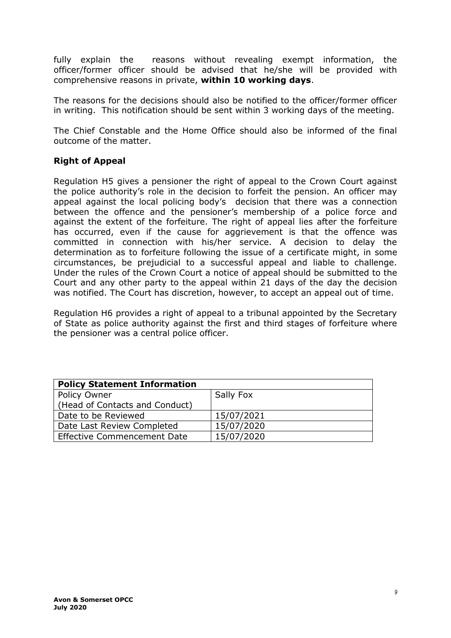fully explain the reasons without revealing exempt information, the officer/former officer should be advised that he/she will be provided with comprehensive reasons in private, **within 10 working days**.

The reasons for the decisions should also be notified to the officer/former officer in writing. This notification should be sent within 3 working days of the meeting.

The Chief Constable and the Home Office should also be informed of the final outcome of the matter.

## **Right of Appeal**

Regulation H5 gives a pensioner the right of appeal to the Crown Court against the police authority's role in the decision to forfeit the pension. An officer may appeal against the local policing body's decision that there was a connection between the offence and the pensioner's membership of a police force and against the extent of the forfeiture. The right of appeal lies after the forfeiture has occurred, even if the cause for aggrievement is that the offence was committed in connection with his/her service. A decision to delay the determination as to forfeiture following the issue of a certificate might, in some circumstances, be prejudicial to a successful appeal and liable to challenge. Under the rules of the Crown Court a notice of appeal should be submitted to the Court and any other party to the appeal within 21 days of the day the decision was notified. The Court has discretion, however, to accept an appeal out of time.

Regulation H6 provides a right of appeal to a tribunal appointed by the Secretary of State as police authority against the first and third stages of forfeiture where the pensioner was a central police officer.

| <b>Policy Statement Information</b> |            |  |  |
|-------------------------------------|------------|--|--|
| Policy Owner                        | Sally Fox  |  |  |
| (Head of Contacts and Conduct)      |            |  |  |
| Date to be Reviewed                 | 15/07/2021 |  |  |
| Date Last Review Completed          | 15/07/2020 |  |  |
| Effective Commencement Date         | 15/07/2020 |  |  |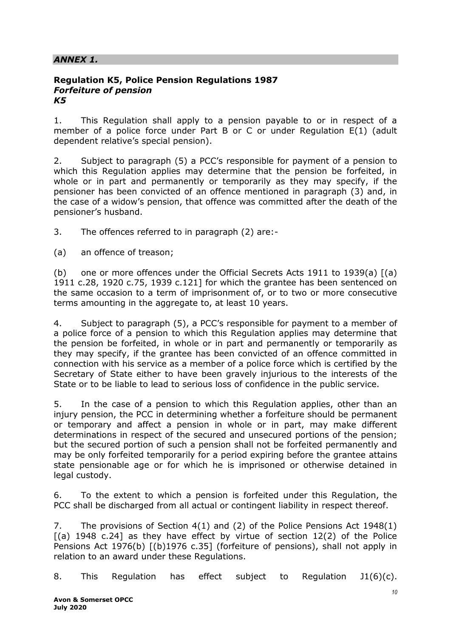## *ANNEX 1.*

#### **Regulation K5, Police Pension Regulations 1987** *Forfeiture of pension K5*

1. This Regulation shall apply to a pension payable to or in respect of a member of a police force under Part B or C or under Regulation E(1) (adult dependent relative's special pension).

2. Subject to paragraph (5) a PCC's responsible for payment of a pension to which this Regulation applies may determine that the pension be forfeited, in whole or in part and permanently or temporarily as they may specify, if the pensioner has been convicted of an offence mentioned in paragraph (3) and, in the case of a widow's pension, that offence was committed after the death of the pensioner's husband.

3. The offences referred to in paragraph (2) are:-

(a) an offence of treason;

(b) one or more offences under the Official Secrets Acts 1911 to 1939(a) [(a) 1911 c.28, 1920 c.75, 1939 c.121] for which the grantee has been sentenced on the same occasion to a term of imprisonment of, or to two or more consecutive terms amounting in the aggregate to, at least 10 years.

4. Subject to paragraph (5), a PCC's responsible for payment to a member of a police force of a pension to which this Regulation applies may determine that the pension be forfeited, in whole or in part and permanently or temporarily as they may specify, if the grantee has been convicted of an offence committed in connection with his service as a member of a police force which is certified by the Secretary of State either to have been gravely injurious to the interests of the State or to be liable to lead to serious loss of confidence in the public service.

5. In the case of a pension to which this Regulation applies, other than an injury pension, the PCC in determining whether a forfeiture should be permanent or temporary and affect a pension in whole or in part, may make different determinations in respect of the secured and unsecured portions of the pension; but the secured portion of such a pension shall not be forfeited permanently and may be only forfeited temporarily for a period expiring before the grantee attains state pensionable age or for which he is imprisoned or otherwise detained in legal custody.

6. To the extent to which a pension is forfeited under this Regulation, the PCC shall be discharged from all actual or contingent liability in respect thereof.

7. The provisions of Section 4(1) and (2) of the Police Pensions Act 1948(1)  $[(a)$  1948 c.24] as they have effect by virtue of section 12(2) of the Police Pensions Act 1976(b) [(b)1976 c.35] (forfeiture of pensions), shall not apply in relation to an award under these Regulations.

8. This Regulation has effect subject to Regulation  $J1(6)(c)$ .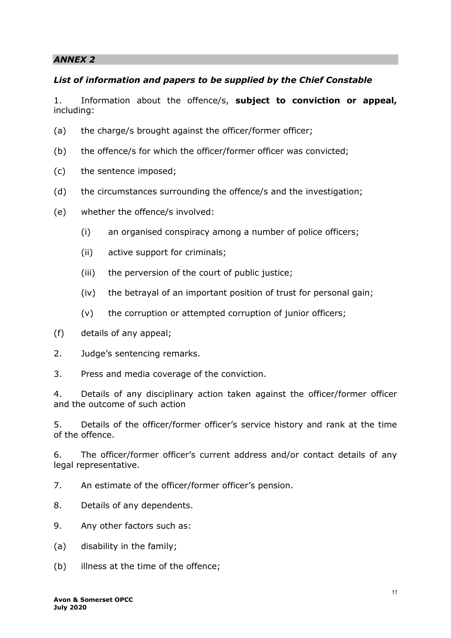## *List of information and papers to be supplied by the Chief Constable*

1. Information about the offence/s, **subject to conviction or appeal,** including:

- (a) the charge/s brought against the officer/former officer;
- (b) the offence/s for which the officer/former officer was convicted;
- (c) the sentence imposed;
- (d) the circumstances surrounding the offence/s and the investigation;
- (e) whether the offence/s involved:
	- (i) an organised conspiracy among a number of police officers;
	- (ii) active support for criminals;
	- (iii) the perversion of the court of public justice;
	- (iv) the betrayal of an important position of trust for personal gain;
	- (v) the corruption or attempted corruption of junior officers;
- (f) details of any appeal;
- 2. Judge's sentencing remarks.
- 3. Press and media coverage of the conviction.

4. Details of any disciplinary action taken against the officer/former officer and the outcome of such action

5. Details of the officer/former officer's service history and rank at the time of the offence.

6. The officer/former officer's current address and/or contact details of any legal representative.

7. An estimate of the officer/former officer's pension.

- 8. Details of any dependents.
- 9. Any other factors such as:
- (a) disability in the family;
- (b) illness at the time of the offence;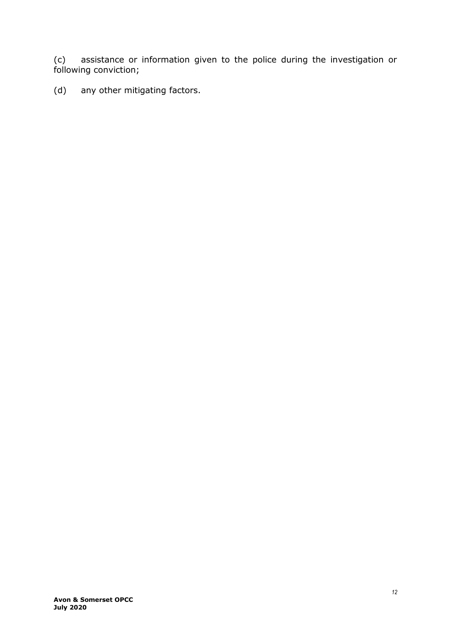(c) assistance or information given to the police during the investigation or following conviction;

(d) any other mitigating factors.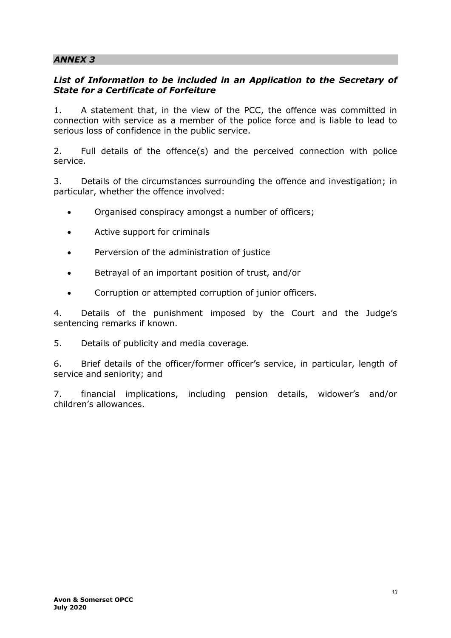## List of Information to be included in an Application to the Secretary of *State for a Certificate of Forfeiture*

1. A statement that, in the view of the PCC, the offence was committed in connection with service as a member of the police force and is liable to lead to serious loss of confidence in the public service.

2. Full details of the offence(s) and the perceived connection with police service.

3. Details of the circumstances surrounding the offence and investigation; in particular, whether the offence involved:

- Organised conspiracy amongst a number of officers;
- Active support for criminals
- Perversion of the administration of justice
- Betrayal of an important position of trust, and/or
- Corruption or attempted corruption of junior officers.

4. Details of the punishment imposed by the Court and the Judge's sentencing remarks if known.

5. Details of publicity and media coverage.

6. Brief details of the officer/former officer's service, in particular, length of service and seniority; and

7. financial implications, including pension details, widower's and/or children's allowances.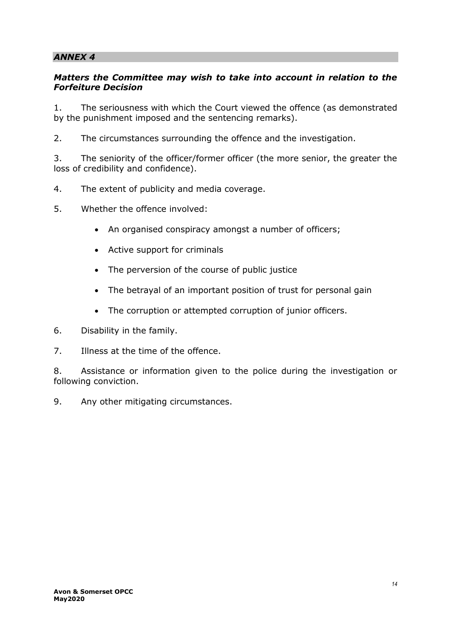## *Matters the Committee may wish to take into account in relation to the Forfeiture Decision*

1. The seriousness with which the Court viewed the offence (as demonstrated by the punishment imposed and the sentencing remarks).

2. The circumstances surrounding the offence and the investigation.

3. The seniority of the officer/former officer (the more senior, the greater the loss of credibility and confidence).

- 4. The extent of publicity and media coverage.
- 5. Whether the offence involved:
	- An organised conspiracy amongst a number of officers;
	- Active support for criminals
	- The perversion of the course of public justice
	- The betrayal of an important position of trust for personal gain
	- The corruption or attempted corruption of junior officers.
- 6. Disability in the family.
- 7. Illness at the time of the offence.

8. Assistance or information given to the police during the investigation or following conviction.

9. Any other mitigating circumstances.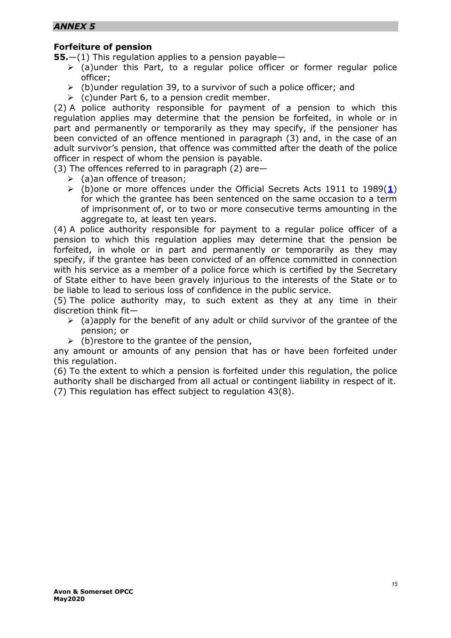## **Forfeiture of pension**

**55.**—(1) This regulation applies to a pension payable—

- $\triangleright$  (a)under this Part, to a regular police officer or former regular police officer;
- $\triangleright$  (b)under regulation 39, to a survivor of such a police officer: and
- $\triangleright$  (c)under Part 6, to a pension credit member.

(2) A police authority responsible for payment of a pension to which this regulation applies may determine that the pension be forfeited, in whole or in part and permanently or temporarily as they may specify, if the pensioner has been convicted of an offence mentioned in paragraph (3) and, in the case of an adult survivor's pension, that offence was committed after the death of the police officer in respect of whom the pension is payable.

(3) The offences referred to in paragraph (2) are—

- $\geq$  (a)an offence of treason:
- (b)one or more offences under the Official Secrets Acts 1911 to 1989(**[1](https://www.legislation.gov.uk/uksi/2006/3415/regulation/55/made#f00031)**) for which the grantee has been sentenced on the same occasion to a term of imprisonment of, or to two or more consecutive terms amounting in the aggregate to, at least ten years.

(4) A police authority responsible for payment to a regular police officer of a pension to which this regulation applies may determine that the pension be forfeited, in whole or in part and permanently or temporarily as they may specify, if the grantee has been convicted of an offence committed in connection with his service as a member of a police force which is certified by the Secretary of State either to have been gravely injurious to the interests of the State or to be liable to lead to serious loss of confidence in the public service.

(5) The police authority may, to such extent as they at any time in their discretion think fit—

- $\triangleright$  (a)apply for the benefit of any adult or child survivor of the grantee of the pension; or
- $\triangleright$  (b) restore to the grantee of the pension,

any amount or amounts of any pension that has or have been forfeited under this regulation.

(6) To the extent to which a pension is forfeited under this regulation, the police authority shall be discharged from all actual or contingent liability in respect of it. (7) This regulation has effect subject to regulation 43(8).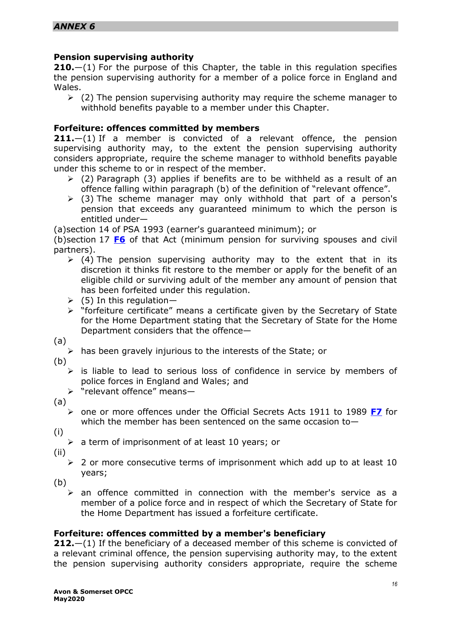## **Pension supervising authority**

**210.**—(1) For the purpose of this Chapter, the table in this regulation specifies the pension supervising authority for a member of a police force in England and Wales.

 $\geq$  (2) The pension supervising authority may require the scheme manager to withhold benefits payable to a member under this Chapter.

#### **Forfeiture: offences committed by members**

**211.**—(1) If a member is convicted of a relevant offence, the pension supervising authority may, to the extent the pension supervising authority considers appropriate, require the scheme manager to withhold benefits payable under this scheme to or in respect of the member.

- $\geq$  (2) Paragraph (3) applies if benefits are to be withheld as a result of an offence falling within paragraph (b) of the definition of "relevant offence".
- $\geq$  (3) The scheme manager may only withhold that part of a person's pension that exceeds any guaranteed minimum to which the person is entitled under—

(a)section 14 of PSA 1993 (earner's guaranteed minimum); or

(b)section 17 **[F6](http://www.legislation.gov.uk/uksi/2015/445/part/13/chapter/5#commentary-c22402961)** of that Act (minimum pension for surviving spouses and civil partners).

- $\triangleright$  (4) The pension supervising authority may to the extent that in its discretion it thinks fit restore to the member or apply for the benefit of an eligible child or surviving adult of the member any amount of pension that has been forfeited under this regulation.
- $(5)$  In this regulation-
- "forfeiture certificate" means a certificate given by the Secretary of State for the Home Department stating that the Secretary of State for the Home Department considers that the offence—
- (a)
	- $\triangleright$  has been gravely injurious to the interests of the State; or
- (b)
	- $\triangleright$  is liable to lead to serious loss of confidence in service by members of police forces in England and Wales; and
	- > "relevant offence" means-
- (a)
	- one or more offences under the Official Secrets Acts 1911 to 1989 **[F7](http://www.legislation.gov.uk/uksi/2015/445/part/13/chapter/5#commentary-c22402971)** for which the member has been sentenced on the same occasion to $-$
- (i)
	- $\triangleright$  a term of imprisonment of at least 10 years; or
- (ii)
	- $\geq 2$  or more consecutive terms of imprisonment which add up to at least 10 years;
- (b)
	- $\triangleright$  an offence committed in connection with the member's service as a member of a police force and in respect of which the Secretary of State for the Home Department has issued a forfeiture certificate.

## **Forfeiture: offences committed by a member's beneficiary**

**212.**—(1) If the beneficiary of a deceased member of this scheme is convicted of a relevant criminal offence, the pension supervising authority may, to the extent the pension supervising authority considers appropriate, require the scheme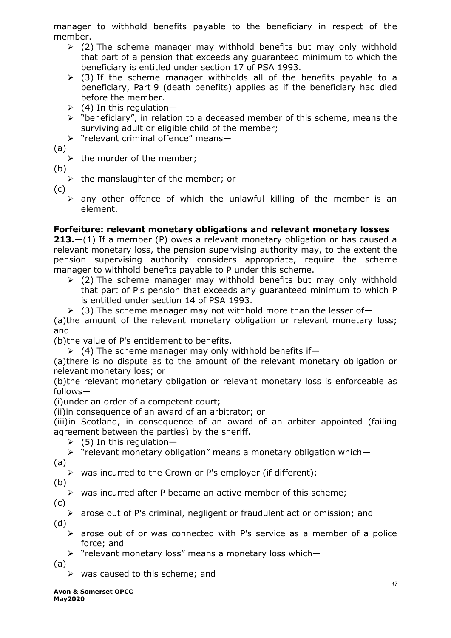manager to withhold benefits payable to the beneficiary in respect of the member.

- $\geq$  (2) The scheme manager may withhold benefits but may only withhold that part of a pension that exceeds any guaranteed minimum to which the beneficiary is entitled under section 17 of PSA 1993.
- $\triangleright$  (3) If the scheme manager withholds all of the benefits payable to a beneficiary, Part 9 (death benefits) applies as if the beneficiary had died before the member.
- $(4)$  In this regulation-
- $\triangleright$  "beneficiary", in relation to a deceased member of this scheme, means the surviving adult or eligible child of the member;
- $\triangleright$  "relevant criminal offence" means-
- (a)
	- $\triangleright$  the murder of the member;
- (b)
	- $\triangleright$  the manslaughter of the member; or
- (c)
	- $\triangleright$  any other offence of which the unlawful killing of the member is an element.

## **Forfeiture: relevant monetary obligations and relevant monetary losses**

**213.**—(1) If a member (P) owes a relevant monetary obligation or has caused a relevant monetary loss, the pension supervising authority may, to the extent the pension supervising authority considers appropriate, require the scheme manager to withhold benefits payable to P under this scheme.

- $\geq$  (2) The scheme manager may withhold benefits but may only withhold that part of P's pension that exceeds any guaranteed minimum to which P is entitled under section 14 of PSA 1993.
- $(3)$  The scheme manager may not withhold more than the lesser of-

(a)the amount of the relevant monetary obligation or relevant monetary loss; and

(b)the value of P's entitlement to benefits.

 $(4)$  The scheme manager may only withhold benefits if-

(a)there is no dispute as to the amount of the relevant monetary obligation or relevant monetary loss; or

(b)the relevant monetary obligation or relevant monetary loss is enforceable as follows—

(i)under an order of a competent court;

(ii)in consequence of an award of an arbitrator; or

(iii)in Scotland, in consequence of an award of an arbiter appointed (failing agreement between the parties) by the sheriff.

 $(5)$  In this regulation-

> "relevant monetary obligation" means a monetary obligation which-

(a)

 $\triangleright$  was incurred to the Crown or P's employer (if different);

(b)

 $\triangleright$  was incurred after P became an active member of this scheme;

- (c) (d)
	- $\triangleright$  arose out of P's criminal, negligent or fraudulent act or omission; and
	- $\triangleright$  arose out of or was connected with P's service as a member of a police force; and
	- $\triangleright$  "relevant monetary loss" means a monetary loss which-

(a)

 $\triangleright$  was caused to this scheme; and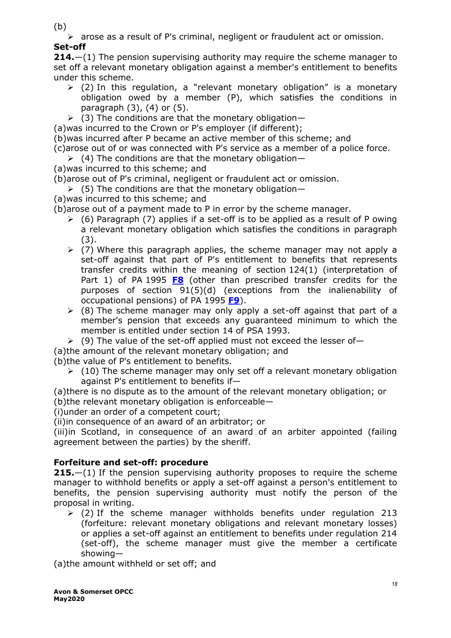(b)

 arose as a result of P's criminal, negligent or fraudulent act or omission. **Set-off**

**214.**—(1) The pension supervising authority may require the scheme manager to set off a relevant monetary obligation against a member's entitlement to benefits under this scheme.

- $\geq$  (2) In this regulation, a "relevant monetary obligation" is a monetary obligation owed by a member (P), which satisfies the conditions in paragraph (3), (4) or (5).
- $(3)$  The conditions are that the monetary obligation-
- (a)was incurred to the Crown or P's employer (if different);
- (b)was incurred after P became an active member of this scheme; and
- (c)arose out of or was connected with P's service as a member of a police force.
- $(4)$  The conditions are that the monetary obligation-
- (a)was incurred to this scheme; and
- (b)arose out of P's criminal, negligent or fraudulent act or omission.
- $(5)$  The conditions are that the monetary obligation—
- (a)was incurred to this scheme; and
- (b)arose out of a payment made to P in error by the scheme manager.
	- $(6)$  Paragraph (7) applies if a set-off is to be applied as a result of P owing a relevant monetary obligation which satisfies the conditions in paragraph (3).
	- $\geq$  (7) Where this paragraph applies, the scheme manager may not apply a set-off against that part of P's entitlement to benefits that represents transfer credits within the meaning of section 124(1) (interpretation of Part 1) of PA 1995 **[F8](http://www.legislation.gov.uk/uksi/2015/445/part/13/chapter/5#commentary-c22402981)** (other than prescribed transfer credits for the purposes of section 91(5)(d) (exceptions from the inalienability of occupational pensions) of PA 1995 **[F9](http://www.legislation.gov.uk/uksi/2015/445/part/13/chapter/5#commentary-c22402991)**).
	- $\geq$  (8) The scheme manager may only apply a set-off against that part of a member's pension that exceeds any guaranteed minimum to which the member is entitled under section 14 of PSA 1993.
	- $(9)$  The value of the set-off applied must not exceed the lesser of-
- (a)the amount of the relevant monetary obligation; and
- (b)the value of P's entitlement to benefits.
	- $(10)$  The scheme manager may only set off a relevant monetary obligation against P's entitlement to benefits if—

(a)there is no dispute as to the amount of the relevant monetary obligation; or (b)the relevant monetary obligation is enforceable—

(i)under an order of a competent court;

(ii)in consequence of an award of an arbitrator; or

(iii)in Scotland, in consequence of an award of an arbiter appointed (failing agreement between the parties) by the sheriff.

# **Forfeiture and set-off: procedure**

**215.**—(1) If the pension supervising authority proposes to require the scheme manager to withhold benefits or apply a set-off against a person's entitlement to benefits, the pension supervising authority must notify the person of the proposal in writing.

 $\geq$  (2) If the scheme manager withholds benefits under regulation 213 (forfeiture: relevant monetary obligations and relevant monetary losses) or applies a set-off against an entitlement to benefits under regulation 214 (set-off), the scheme manager must give the member a certificate showing—

(a)the amount withheld or set off; and